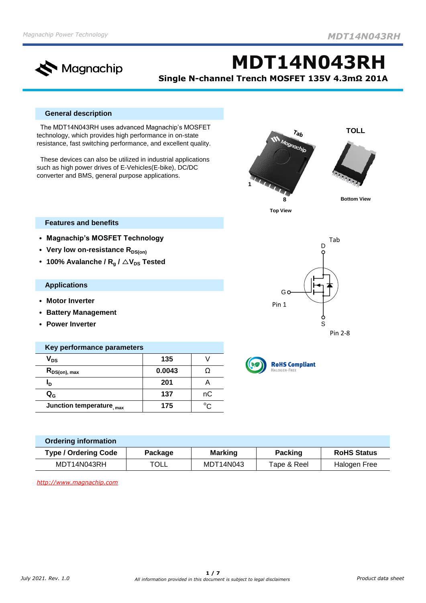

**MDT14N043RH Single N-channel Trench MOSFET 135V 4.3mΩ 201A**

## **General description**

 The MDT14N043RH uses advanced Magnachip's MOSFET technology, which provides high performance in on-state resistance, fast switching performance, and excellent quality.

 These devices can also be utilized in industrial applications such as high power drives of E-Vehicles(E-bike), DC/DC converter and BMS, general purpose applications.



D

Tab

Pin 2-8

**Top View**

 $\begin{array}{c} 60 \ \hline 1 \end{array}$ 

## **Features and benefits**

- **• Magnachip's MOSFET Technology**
- **•** Very low on-resistance R<sub>DS(on)</sub>
- **100%** Avalanche /  $R_q$  /  $\triangle V_{DS}$  Tested

#### **Applications**

- **• Motor Inverter**
- **• Battery Management**
- **• Power Inverter**

| Key performance parameters |        |    |  |  |  |  |
|----------------------------|--------|----|--|--|--|--|
| $\mathsf{V}_{\mathsf{DS}}$ | 135    |    |  |  |  |  |
| $R_{DS(on), max}$          | 0.0043 |    |  |  |  |  |
| חי                         | 201    |    |  |  |  |  |
| $\mathbf{Q}_{\mathbf{G}}$  | 137    | nС |  |  |  |  |
| Junction temperature, max  | 175    |    |  |  |  |  |



Pin 1

| <b>Ordering information</b> |                |                |                |                    |
|-----------------------------|----------------|----------------|----------------|--------------------|
| <b>Type / Ordering Code</b> | <b>Package</b> | <b>Marking</b> | <b>Packing</b> | <b>RoHS Status</b> |
| MDT14N043RH                 | <b>TOLL</b>    | MDT14N043      | Tape & Reel    | Halogen Free       |

*[http](http://www.magnachip.com/)://www.magnachip.com*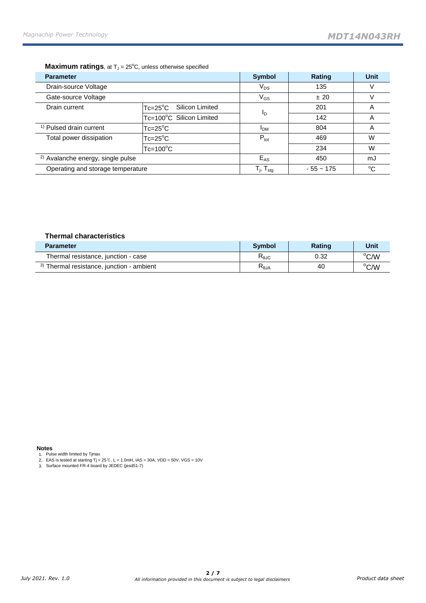## **Maximum ratings**, at T<sub>J</sub> = 25°C, unless otherwise specified

| <b>Parameter</b>                             |                                       | <b>Symbol</b>                                         | Rating      | <b>Unit</b> |
|----------------------------------------------|---------------------------------------|-------------------------------------------------------|-------------|-------------|
| Drain-source Voltage                         |                                       | $V_{DS}$                                              | 135         | V           |
| Gate-source Voltage                          |                                       | $\mathsf{V}_{\mathsf{GS}}$                            | ±20         |             |
| Drain current                                | Silicon Limited<br>$Tc = 25^{\circ}C$ |                                                       | 201         | A           |
|                                              | Tc=100°C Silicon Limited              | Ιŋ                                                    | 142         | Α           |
| <sup>1)</sup> Pulsed drain current           | $Tc = 25^{\circ}C$                    | <b>IDM</b>                                            | 804         | A           |
| Total power dissipation                      | $Tc = 25^{\circ}C$                    |                                                       | 469         | W           |
|                                              | $Tc = 100^{\circ}C$                   |                                                       | 234         | W           |
| <sup>2)</sup> Avalanche energy, single pulse |                                       | $E_{AS}$                                              | 450         | mJ          |
| Operating and storage temperature            |                                       | $\mathsf{T}_{\mathsf{j}},\,\mathsf{T}_{\mathsf{stg}}$ | $-55 - 175$ | $^{\circ}C$ |

#### **Thermal characteristics**

| <b>Parameter</b>                                     | <b>Symbol</b>   | <b>Rating</b> | Unit |
|------------------------------------------------------|-----------------|---------------|------|
| Thermal resistance, junction - case                  | $R_{\theta JC}$ | 0.32          | °C/W |
| <sup>3)</sup> Thermal resistance, junction - ambient | $R_{\theta$ JA  | 40            | °C/W |

#### **Notes**

1.

2. Pulse width limited by Tjmax EAS is tested at starting Tj = 25℃, L = 1.0mH, IAS = 30A, VDD = 50V, VGS = 10V Surface mounted FR-4 board by JEDEC (jesd51-7)

3.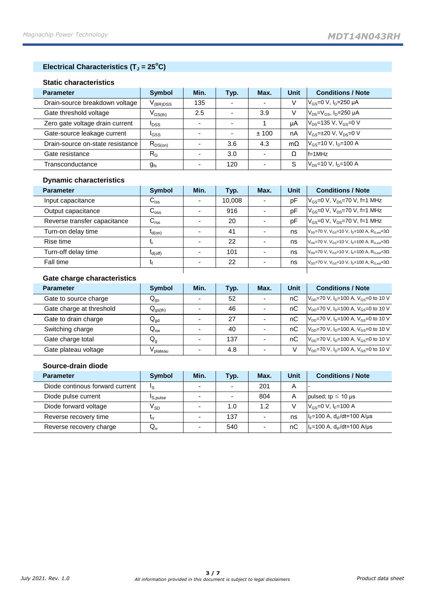# **Electrical Characteristics (T<sup>J</sup> = 25<sup>o</sup>C)**

## **Static characteristics**

| <b>Parameter</b>                 | <b>Symbol</b>     | Min. | Typ.                     | Max. | Unit      | <b>Conditions / Note</b>                                           |
|----------------------------------|-------------------|------|--------------------------|------|-----------|--------------------------------------------------------------------|
| Drain-source breakdown voltage   | $\rm V_{(BR)DSS}$ | 135  | -                        |      | V         | $V_{GS} = 0 V, I_D = 250 \mu A$                                    |
| Gate threshold voltage           | $V_{GS(th)}$      | 2.5  | $\overline{\phantom{a}}$ | 3.9  | V         | $V_{DS}=V_{GS}$ , $I_{D}=250 \mu A$                                |
| Zero gate voltage drain current  | <b>I</b> DSS      |      | $\overline{\phantom{0}}$ |      | иA        | $V_{DS}$ =135 V, V <sub>GS</sub> =0 V                              |
| Gate-source leakage current      | <b>I</b> GSS      |      | ۰.                       | ±100 | nA        | $V_{\text{GS}} = \pm 20 \text{ V}$ , $V_{\text{DS}} = 0 \text{ V}$ |
| Drain-source on-state resistance | $R_{DS(on)}$      |      | 3.6                      | 4.3  | $m\Omega$ | $V_{GS}$ =10 V, $I_{D}$ =100 A                                     |
| Gate resistance                  | $R_G$             |      | 3.0                      |      | Ω         | $ f=1$ MHz                                                         |
| Transconductance                 | $g_{fs}$          |      | 120                      |      | S         | $V_{DS}$ =10 V, $I_{D}$ =100 A                                     |

## **Dynamic characteristics**

| <b>Parameter</b>             | <b>Symbol</b>               | Min.                     | Typ.   | Max.                     | <b>Unit</b> | <b>Conditions / Note</b>                                                                    |
|------------------------------|-----------------------------|--------------------------|--------|--------------------------|-------------|---------------------------------------------------------------------------------------------|
| Input capacitance            | $\mathsf{C}_{\mathsf{iss}}$ | ٠                        | 10.008 | $\overline{\phantom{0}}$ | pF          | $V_{\rm GS} = 0$ V, $V_{\rm DS} = 70$ V, f=1 MHz                                            |
| Output capacitance           | $C_{\rm oss}$               |                          | 916    | $\overline{\phantom{0}}$ | pF          | $V_{\text{GS}} = 0$ V, $V_{\text{DS}} = 70$ V, f=1 MHz                                      |
| Reverse transfer capacitance | $C_{\rm rss}$               |                          | 20     |                          | pF          | $V_{\text{GS}} = 0$ V, $V_{\text{DS}} = 70$ V, f=1 MHz                                      |
| Turn-on delay time           | $t_{d(on)}$                 | $\overline{\phantom{a}}$ | 41     |                          | ns          | $V_{\text{DD}}$ =70 V, V <sub>GS</sub> =10 V, I <sub>D</sub> =100 A, R <sub>G ext</sub> =3Ω |
| Rise time                    |                             |                          | 22     |                          | ns          | $V_{DD}$ =70 V, V <sub>GS</sub> =10 V, I <sub>D</sub> =100 A, R <sub>G ext</sub> =3Ω        |
| Turn-off delay time          | $I_{d(off)}$                |                          | 101    | $\overline{\phantom{0}}$ | ns          | $V_{DD}$ =70 V, V <sub>GS</sub> =10 V, I <sub>D</sub> =100 A, R <sub>G ext</sub> =3Ω        |
| Fall time                    | ٩                           |                          | 22     | $\overline{\phantom{0}}$ | ns          | $V_{\text{DD}}$ =70 V, V <sub>GS</sub> =10 V, I <sub>D</sub> =100 A, R <sub>G ext</sub> =3Ω |
|                              |                             |                          |        |                          |             |                                                                                             |

# **Gate charge characteristics**

| <b>Parameter</b>         | Symbol                     | Min. | Typ. | Max. | <b>Unit</b> | <b>Conditions / Note</b>                                                 |
|--------------------------|----------------------------|------|------|------|-------------|--------------------------------------------------------------------------|
| Gate to source charge    | $\mathsf{Q}_{\mathsf{gs}}$ | -    | 52   |      | nС          | $V_{DD}$ =70 V, $I_{D}$ =100 A, V <sub>GS</sub> =0 to 10 V               |
| Gate charge at threshold | $Q_{gs(th)}$               |      | 46   |      | nC          | $V_{DD}$ =70 V, $I_{D}$ =100 A, V <sub>GS</sub> =0 to 10 V               |
| Gate to drain charge     | $Q_{gd}$                   | -    | 27   |      | nС          | $V_{DD}$ =70 V, I <sub>D</sub> =100 A, V <sub>GS</sub> =0 to 10 V        |
| Switching charge         | $\mathsf{Q}_\mathsf{sw}$   |      | 40   |      | nС          | $V_{\text{DD}}$ =70 V, I <sub>D</sub> =100 A, V <sub>GS</sub> =0 to 10 V |
| Gate charge total        | $Q_{q}$                    | -    | 137  |      | nС          | $V_{DD}$ =70 V, I <sub>D</sub> =100 A, V <sub>GS</sub> =0 to 10 V        |
| Gate plateau voltage     | <sup>/</sup> plateau       | -    | 4.8  | -    |             | $V_{DD}$ =70 V, $I_{D}$ =100 A, $V_{GS}$ =0 to 10 V                      |

## **Source-drain diode**

| <b>Parameter</b>                | <b>Symbol</b>              | Min. | Typ.                     | Max. | <b>Unit</b> | <b>Conditions / Note</b>             |
|---------------------------------|----------------------------|------|--------------------------|------|-------------|--------------------------------------|
| Diode continous forward current | Ιs                         |      | ۰.                       | 201  | А           |                                      |
| Diode pulse current             | <sup>I</sup> S, pulse      |      | $\overline{\phantom{0}}$ | 804  | А           | pulsed; tp $\leq$ 10 µs              |
| Diode forward voltage           | $\mathsf{V}_{\mathsf{SD}}$ |      | 1.0                      | 1.2  |             | $V_{gs} = 0 V, IF = 100 A$           |
| Reverse recovery time           | ٠rr                        |      | 137                      |      | ns          | $ I_{F}=100$ A, $d_{IF}/dt=100$ A/us |
| Reverse recovery charge         | $Q_{rr}$                   |      | 540                      |      | nС          | $ I_F=100 A, d_F/dt=100 A/ \mu s $   |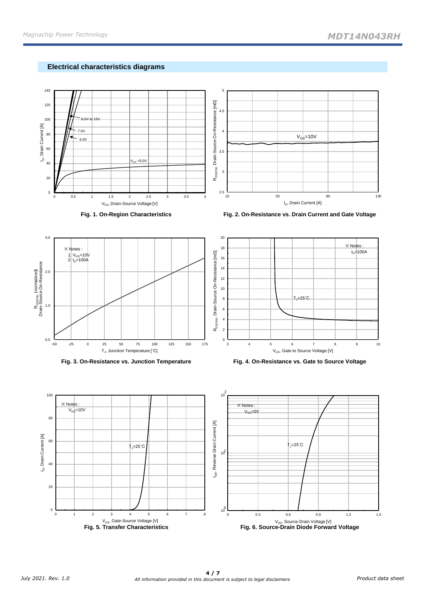# **Electrical characteristics diagrams**



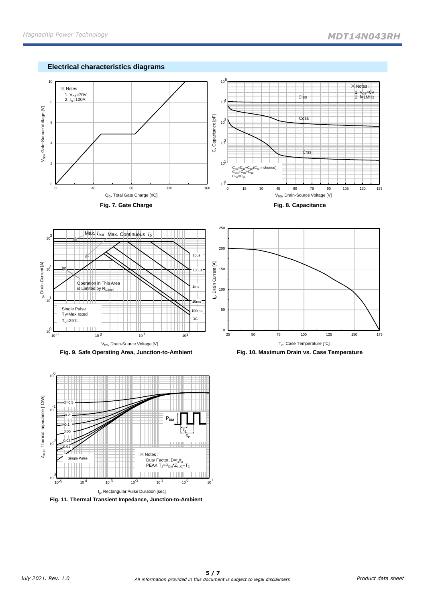





**Fig. 9. Safe Operating Area, Junction-to-Ambient Fig. 10. Maximum Drain vs. Case Temperature**



**Fig. 11. Thermal Transient Impedance, Junction-to-Ambient**



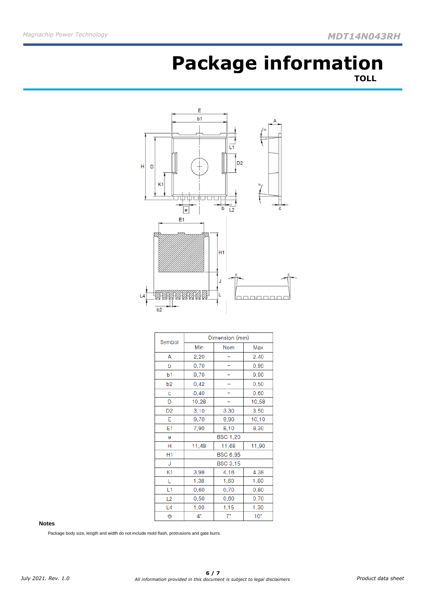# **Package information TOLL**



| Symbol         |                 | Dimension (mm)  |                 |  |  |  |
|----------------|-----------------|-----------------|-----------------|--|--|--|
|                | Min             | Nom             | Max             |  |  |  |
| А              | 2,20            |                 | 2.40            |  |  |  |
| b              | 0.70            |                 | 0,90            |  |  |  |
| b1             | 9.70            |                 | 9,90            |  |  |  |
| b <sub>2</sub> | 0,42            |                 | 0.50            |  |  |  |
| Ċ              | 0.40            |                 | 0,60            |  |  |  |
| D              | 10,28           |                 | 10,58           |  |  |  |
| D <sub>2</sub> | 3,10            | 3,30            | 3,50            |  |  |  |
| E              | 9,70            | 9,90            | 10,10           |  |  |  |
| E1             | 7,90            | 8.10            | 8,30            |  |  |  |
| Θ              | <b>BSC 1,20</b> |                 |                 |  |  |  |
| н              | 11,48           | 11,90           |                 |  |  |  |
| H1             |                 | <b>BSC 6,95</b> |                 |  |  |  |
| J              |                 | <b>BSC 3.15</b> |                 |  |  |  |
| K1             | 3,98            | 4.18            | 4,38            |  |  |  |
| L              | 1,38            | 1,60            | 1,80            |  |  |  |
| L1             | 0,60            | 0,70            | 0,80            |  |  |  |
| L <sub>2</sub> | 0.50            | 0,60            | 0.70            |  |  |  |
| L4             | 1,00            | 1.15            | 1,30            |  |  |  |
| Θ              | $4^{\circ}$     | $7^{\circ}$     | 10 <sup>°</sup> |  |  |  |

#### **Notes**

Package body size, length and width do not include mold flash, protrusions and gate burrs.